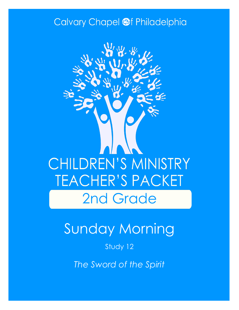### Calvary Chapel @f Philadelphia



# Sunday Morning

#### Study 12

*The Sword of the Spirit*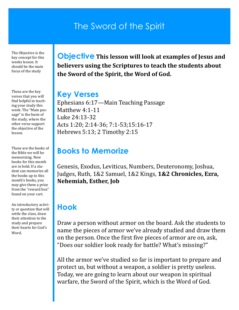### The Sword of the Spirit

The Objective is the key concept for this weeks lesson. It should be the main focus of the study

These are the key verses that you will find helpful in teaching your study this week. The "Main passage" is the basis of the study, where the other verse support the objective of the lesson.

These are the books of the Bible we will be memorizing. New books for this month are in bold. If a student can memorize all the books up to this month's books, you may give them a prize from the "reward box" found on your cart.

An introductory activity or question that will settle the class, draw their attention to the study and prepare their hearts for God's Word.

**Objective This lesson will look at examples of Jesus and believers using the Scriptures to teach the students about the Sword of the Spirit, the Word of God.**

#### **Key Verses**

Ephesians 6:17—Main Teaching Passage Matthew 4:1-11 Luke 24:13-32 Acts 1:20; 2:14-36; 7:1-53;15:16-17 Hebrews 5:13; 2 Timothy 2:15

### **Books to Memorize**

Genesis, Exodus, Leviticus, Numbers, Deuteronomy, Joshua, Judges, Ruth, 1&2 Samuel, 1&2 Kings, **1&2 Chronicles, Ezra, Nehemiah, Esther, Job**

### **Hook**

Draw a person without armor on the board. Ask the students to name the pieces of armor we've already studied and draw them on the person. Once the first five pieces of armor are on, ask, "Does our soldier look ready for battle? What's missing?"

All the armor we've studied so far is important to prepare and protect us, but without a weapon, a soldier is pretty useless. Today, we are going to learn about our weapon in spiritual warfare, the Sword of the Spirit, which is the Word of God.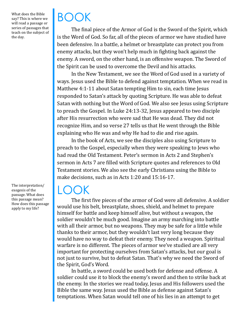What does the Bible say? This is where we will read a passage or series of passages that teach on the subject of the day.

The interpretation/ exegesis of the passage. What does this passage mean? How does this passage apply to my life?

# BOOK

The final piece of the Armor of God is the Sword of the Spirit, which is the Word of God. So far, all of the pieces of armor we have studied have been defensive. In a battle, a helmet or breastplate can protect you from enemy attacks, but they won't help much in fighting back against the enemy. A sword, on the other hand, is an offensive weapon. The Sword of the Spirit can be used to overcome the Devil and his attacks.

In the New Testament, we see the Word of God used in a variety of ways. Jesus used the Bible to defend against temptation. When we read in Matthew 4:1-11 about Satan tempting Him to sin, each time Jesus responded to Satan's attack by quoting Scripture. He was able to defeat Satan with nothing but the Word of God. We also see Jesus using Scripture to preach the Gospel. In Luke 24:13-32, Jesus appeared to two disciple after His resurrection who were sad that He was dead. They did not recognize Him, and so verse 27 tells us that He went through the Bible explaining who He was and why He had to die and rise again.

In the book of Acts, we see the disciples also using Scripture to preach to the Gospel, especially when they were speaking to Jews who had read the Old Testament. Peter's sermon in Acts 2 and Stephen's sermon in Acts 7 are filled with Scripture quotes and references to Old Testament stories. We also see the early Christians using the Bible to make decisions, such as in Acts 1:20 and 15:16-17.

### LOOK

The first five pieces of the armor of God were all defensive. A soldier would use his belt, breastplate, shoes, shield, and helmet to prepare himself for battle and keep himself alive, but without a weapon, the soldier wouldn't be much good. Imagine an army marching into battle with all their armor, but no weapons. They may be safe for a little while thanks to their armor, but they wouldn't last very long because they would have no way to defeat their enemy. They need a weapon. Spiritual warfare is no different. The pieces of armor we've studied are all very important for protecting ourselves from Satan's attacks, but our goal is not just to survive, but to defeat Satan. That's why we need the Sword of the Spirit, God's Word.

In battle, a sword could be used both for defense and offense. A soldier could use it to block the enemy's sword and then to strike back at the enemy. In the stories we read today, Jesus and His followers used the Bible the same way. Jesus used the Bible as defense against Satan's temptations. When Satan would tell one of his lies in an attempt to get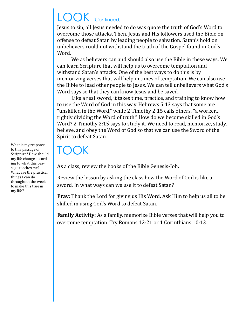# LOOK (Continued)

Jesus to sin, all Jesus needed to do was quote the truth of God's Word to overcome those attacks. Then, Jesus and His followers used the Bible on offense to defeat Satan by leading people to salvation. Satan's hold on unbelievers could not withstand the truth of the Gospel found in God's Word.

We as believers can and should also use the Bible in these ways. We can learn Scripture that will help us to overcome temptation and withstand Satan's attacks. One of the best ways to do this is by memorizing verses that will help in times of temptation. We can also use the Bible to lead other people to Jesus. We can tell unbelievers what God's Word says so that they can know Jesus and be saved.

Like a real sword, it takes time, practice, and training to know how to use the Word of God in this way. Hebrews 5:13 says that some are "unskilled in the Word," while 2 Timothy 2:15 calls others, "a worker… rightly dividing the Word of truth." How do we become skilled in God's Word? 2 Timothy 2:15 says to study it. We need to read, memorize, study, believe, and obey the Word of God so that we can use the Sword of the Spirit to defeat Satan.

### TOOK

As a class, review the books of the Bible Genesis-Job.

Review the lesson by asking the class how the Word of God is like a sword. In what ways can we use it to defeat Satan?

**Pray:** Thank the Lord for giving us His Word. Ask Him to help us all to be skilled in using God's Word to defeat Satan.

**Family Activity:** As a family, memorize Bible verses that will help you to overcome temptation. Try Romans 12:21 or 1 Corinthians 10:13.

What is my response to this passage of Scripture? How should my life change according to what this passage teaches me? What are the practical things I can do throughout the week to make this true in my life?